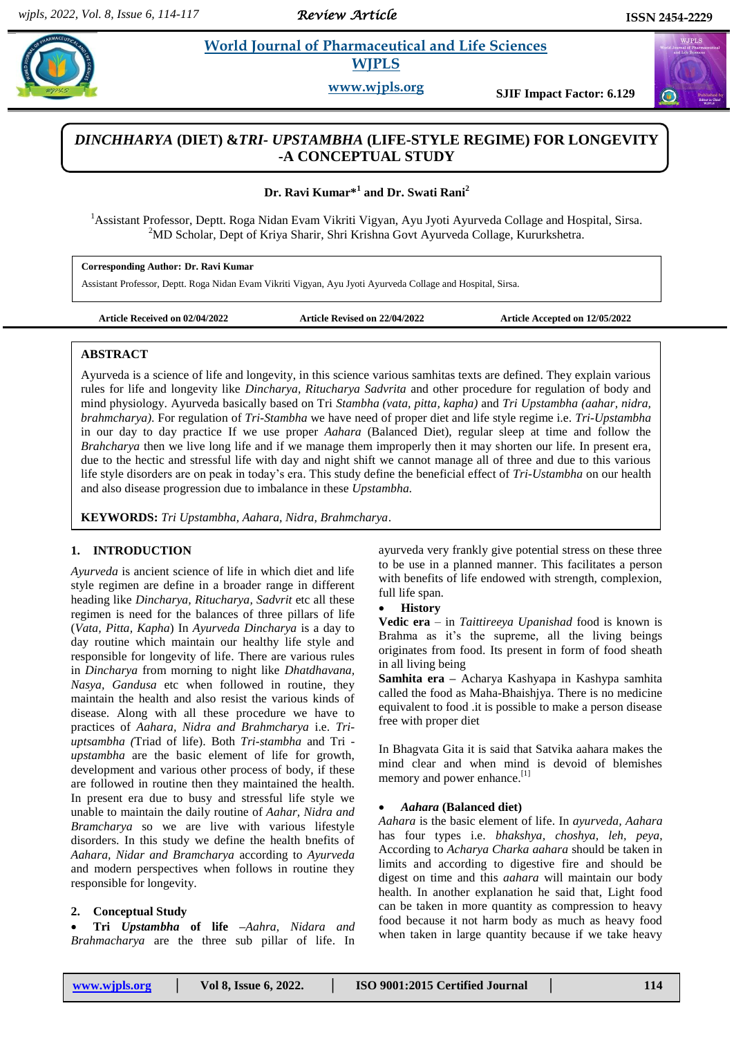*Review Article* 

 $\alpha$ 

# **Rad. 2. Property** *et al. a**et al. <b>a <i>Et al. and Life Sciences* **WJPLS**

**www.wjpls.org SJIF Impact Factor: 6.129**

## *DINCHHARYA* **(DIET) &***TRI- UPSTAMBHA* **(LIFE-STYLE REGIME) FOR LONGEVITY -A CONCEPTUAL STUDY**

**Dr. Ravi Kumar\*<sup>1</sup> and Dr. Swati Rani<sup>2</sup>**

<sup>1</sup>Assistant Professor, Deptt. Roga Nidan Evam Vikriti Vigyan, Ayu Jyoti Ayurveda Collage and Hospital, Sirsa. <sup>2</sup>MD Scholar, Dept of Kriya Sharir, Shri Krishna Govt Ayurveda Collage, Kururkshetra.

**Corresponding Author: Dr. Ravi Kumar**

Assistant Professor, Deptt. Roga Nidan Evam Vikriti Vigyan, Ayu Jyoti Ayurveda Collage and Hospital, Sirsa.

**Article Received on 02/04/2022 Article Revised on 22/04/2022 Article Accepted on 12/05/2022**

#### **ABSTRACT**

Ayurveda is a science of life and longevity, in this science various samhitas texts are defined. They explain various rules for life and longevity like *Dincharya, Ritucharya Sadvrita* and other procedure for regulation of body and mind physiology. Ayurveda basically based on Tri *Stambha (vata, pitta, kapha)* and *Tri Upstambha (aahar, nidra, brahmcharya)*. For regulation of *Tri-Stambha* we have need of proper diet and life style regime i.e. *Tri-Upstambha* in our day to day practice If we use proper *Aahara* (Balanced Diet), regular sleep at time and follow the *Brahcharya* then we live long life and if we manage them improperly then it may shorten our life. In present era, due to the hectic and stressful life with day and night shift we cannot manage all of three and due to this various life style disorders are on peak in today's era. This study define the beneficial effect of *Tri-Ustambha* on our health and also disease progression due to imbalance in these *Upstambha.*

**KEYWORDS:** *Tri Upstambha, Aahara, Nidra, Brahmcharya*.

## **1. INTRODUCTION**

*Ayurveda* is ancient science of life in which diet and life style regimen are define in a broader range in different heading like *Dincharya, Ritucharya, Sadvrit* etc all these regimen is need for the balances of three pillars of life (*Vata, Pitta, Kapha*) In *Ayurveda Dincharya* is a day to day routine which maintain our healthy life style and responsible for longevity of life. There are various rules in *Dincharya* from morning to night like *Dhatdhavana, Nasya, Gandusa* etc when followed in routine, they maintain the health and also resist the various kinds of disease. Along with all these procedure we have to practices of *Aahara, Nidra and Brahmcharya* i.e. *Triuptsambha (*Triad of life). Both *Tri-stambha* and Tri  *upstambha* are the basic element of life for growth, development and various other process of body, if these are followed in routine then they maintained the health. In present era due to busy and stressful life style we unable to maintain the daily routine of *Aahar, Nidra and Bramcharya* so we are live with various lifestyle disorders. In this study we define the health bnefits of *Aahara, Nidar and Bramcharya* according to *Ayurveda* and modern perspectives when follows in routine they responsible for longevity.

## **2. Conceptual Study**

 **Tri** *Upstambha* **of life –***Aahra, Nidara and Brahmacharya* are the three sub pillar of life. In ayurveda very frankly give potential stress on these three to be use in a planned manner. This facilitates a person with benefits of life endowed with strength, complexion, full life span.

## **History**

**Vedic era** – in *Taittireeya Upanishad* food is known is Brahma as it's the supreme, all the living beings originates from food. Its present in form of food sheath in all living being

**Samhita era –** Acharya Kashyapa in Kashypa samhita called the food as Maha-Bhaishjya. There is no medicine equivalent to food .it is possible to make a person disease free with proper diet

In Bhagvata Gita it is said that Satvika aahara makes the mind clear and when mind is devoid of blemishes memory and power enhance.<sup>[1]</sup>

#### *Aahara* **(Balanced diet)**

*Aahara* is the basic element of life. In *ayurveda, Aahara* has four types i.e. *bhakshya, choshya, leh, peya*, According to *Acharya Charka aahara* should be taken in limits and according to digestive fire and should be digest on time and this *aahara* will maintain our body health. In another explanation he said that, Light food can be taken in more quantity as compression to heavy food because it not harm body as much as heavy food when taken in large quantity because if we take heavy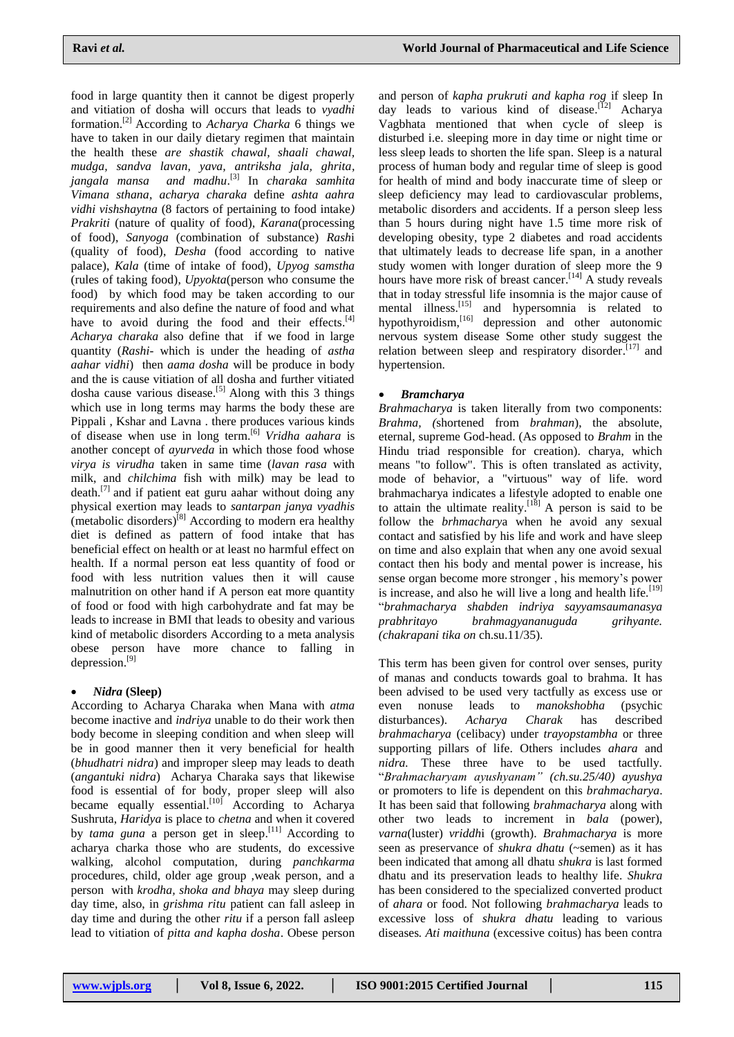food in large quantity then it cannot be digest properly and vitiation of dosha will occurs that leads to *vyadhi* formation. [2] According to *Acharya Charka* 6 things we have to taken in our daily dietary regimen that maintain the health these *are shastik chawal, shaali chawal, mudga, sandva lavan, yava, antriksha jala, ghrita, jangala mansa and madhu*. [3] In *charaka samhita Vimana sthana*, *acharya charaka* define *ashta aahra vidhi vishshaytna* (8 factors of pertaining to food intake*) Prakriti* (nature of quality of food), *Karana*(processing of food), *Sanyoga* (combination of substance) *Rash*i (quality of food), *Desha* (food according to native palace), *Kala* (time of intake of food), *Upyog samstha* (rules of taking food), *Upyokta*(person who consume the food) by which food may be taken according to our requirements and also define the nature of food and what have to avoid during the food and their effects.<sup>[4]</sup> *Acharya charaka* also define that if we food in large quantity (*Rashi*- which is under the heading of *astha aahar vidhi*) then *aama dosha* will be produce in body and the is cause vitiation of all dosha and further vitiated dosha cause various disease.<sup>[5]</sup> Along with this 3 things which use in long terms may harms the body these are Pippali , Kshar and Lavna . there produces various kinds of disease when use in long term. [6] *Vridha aahara* is another concept of *ayurveda* in which those food whose *virya is virudha* taken in same time (*lavan rasa* with milk, and *chilchima* fish with milk) may be lead to death. [7] and if patient eat guru aahar without doing any physical exertion may leads to *santarpan janya vyadhis* (metabolic disorders)<sup>[8]</sup> According to modern era healthy diet is defined as pattern of food intake that has beneficial effect on health or at least no harmful effect on health. If a normal person eat less quantity of food or food with less nutrition values then it will cause malnutrition on other hand if A person eat more quantity of food or food with high carbohydrate and fat may be leads to increase in BMI that leads to obesity and various kind of metabolic disorders According to a meta analysis obese person have more chance to falling in depression. [9]

## *Nidra* **(Sleep)**

According to Acharya Charaka when Mana with *atma* become inactive and *indriya* unable to do their work then body become in sleeping condition and when sleep will be in good manner then it very beneficial for health (*bhudhatri nidra*) and improper sleep may leads to death (*angantuki nidra*) Acharya Charaka says that likewise food is essential of for body, proper sleep will also became equally essential.<sup>[10]</sup> According to Acharya Sushruta, *Haridya* is place to *chetna* and when it covered by *tama guna* a person get in sleep.<sup>[11]</sup> According to acharya charka those who are students, do excessive walking, alcohol computation, during *panchkarma* procedures, child, older age group ,weak person, and a person with *krodha, shoka and bhaya* may sleep during day time, also, in *grishma ritu* patient can fall asleep in day time and during the other *ritu* if a person fall asleep lead to vitiation of *pitta and kapha dosha*. Obese person

and person of *kapha prukruti and kapha rog* if sleep In day leads to various kind of disease.<sup>[12]</sup> Acharya Vagbhata mentioned that when cycle of sleep is disturbed i.e. sleeping more in day time or night time or less sleep leads to shorten the life span. Sleep is a natural process of human body and regular time of sleep is good for health of mind and body inaccurate time of sleep or sleep deficiency may lead to cardiovascular problems, metabolic disorders and accidents. If a person sleep less than 5 hours during night have 1.5 time more risk of developing obesity, type 2 diabetes and road accidents that ultimately leads to decrease life span, in a another study women with longer duration of sleep more the 9 hours have more risk of breast cancer.<sup>[14]</sup> A study reveals that in today stressful life insomnia is the major cause of mental illness.<sup>[15]</sup> and hypersomnia is related to hypothyroidism, <sup>[16]</sup> depression and other autonomic nervous system disease Some other study suggest the relation between sleep and respiratory disorder.<sup>[17]</sup> and hypertension.

### *Bramcharya*

*Brahmacharya* is taken literally from two components: *Brahma, (*shortened from *brahman*), the absolute, eternal, supreme God-head. (As opposed to *Brahm* in the Hindu triad responsible for creation). charya, which means "to follow". This is often translated as activity, mode of behavior, a "virtuous" way of life. word brahmacharya indicates a lifestyle adopted to enable one to attain the ultimate reality.<sup>[18]</sup> A person is said to be follow the *brhmachary*a when he avoid any sexual contact and satisfied by his life and work and have sleep on time and also explain that when any one avoid sexual contact then his body and mental power is increase, his sense organ become more stronger , his memory's power is increase, and also he will live a long and health life.<sup>[19]</sup> ―*brahmacharya shabden indriya sayyamsaumanasya prabhritayo brahmagyananuguda grihyante. (chakrapani tika on* ch.su.11/35).

This term has been given for control over senses, purity of manas and conducts towards goal to brahma. It has been advised to be used very tactfully as excess use or even nonuse leads to *manokshobha* (psychic disturbances). *Acharya Charak* has described *brahmacharya* (celibacy) under *trayopstambha* or three supporting pillars of life. Others includes *ahara* and *nidra.* These three have to be used tactfully. ―*Brahmacharyam ayushyanam" (ch.su.25/40) ayushya* or promoters to life is dependent on this *brahmacharya*. It has been said that following *brahmacharya* along with other two leads to increment in *bala* (power), *varna*(luster) *vriddh*i (growth). *Brahmacharya* is more seen as preservance of *shukra dhatu* (~semen) as it has been indicated that among all dhatu *shukra* is last formed dhatu and its preservation leads to healthy life. *Shukra* has been considered to the specialized converted product of *ahara* or food. Not following *brahmacharya* leads to excessive loss of *shukra dhatu* leading to various diseases*. Ati maithuna* (excessive coitus) has been contra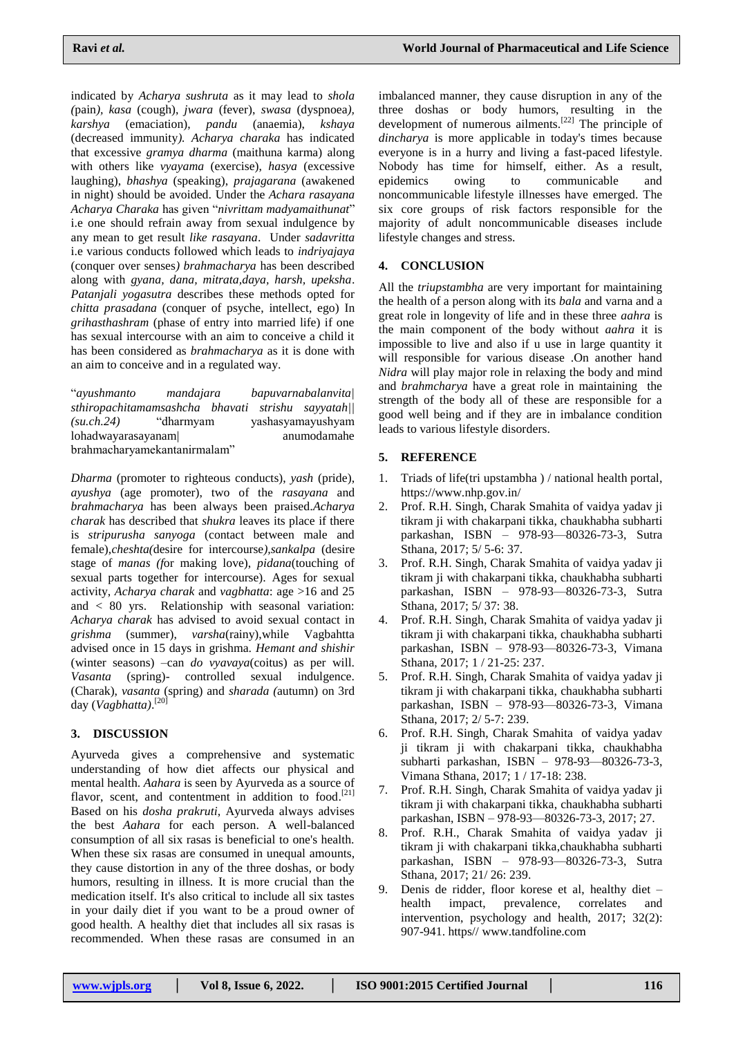indicated by *Acharya sushruta* as it may lead to *shola (*pain*), kasa* (cough), *jwara* (fever), *swasa* (dyspnoea*), karshya* (emaciation), *pandu* (anaemia), *kshaya* (decreased immunity*). Acharya charaka* has indicated that excessive *gramya dharma* (maithuna karma) along with others like *vyayama* (exercise), *hasya* (excessive laughing), *bhashya* (speaking), *prajagarana* (awakened in night) should be avoided. Under the *Achara rasayana Acharya Charaka* has given ―*nivrittam madyamaithunat*‖ i.e one should refrain away from sexual indulgence by any mean to get result *like rasayana*. Under *sadavritta* i.e various conducts followed which leads to *indriyajaya* (conquer over senses*) brahmacharya* has been described along with *gyana, dana, mitrata,daya, harsh, upeksha*. *Patanjali yogasutra* describes these methods opted for *chitta prasadana* (conquer of psyche, intellect, ego) In *grihasthashram* (phase of entry into married life) if one has sexual intercourse with an aim to conceive a child it has been considered as *brahmacharya* as it is done with an aim to conceive and in a regulated way.

―*ayushmanto mandajara bapuvarnabalanvita| sthiropachitamamsashcha bhavati strishu sayyatah|| (su.ch.24)* ―dharmyam yashasyamayushyam lohadwayarasayanam| anumodamahe brahmacharyamekantanirmalam"

*Dharma* (promoter to righteous conducts), *yash* (pride), *ayushya* (age promoter), two of the *rasayana* and *brahmacharya* has been always been praised.*Acharya charak* has described that *shukra* leaves its place if there is *stripurusha sanyoga* (contact between male and female),*cheshta(*desire for intercourse*),sankalpa* (desire stage of *manas (f*or making love), *pidana*(touching of sexual parts together for intercourse). Ages for sexual activity, *Acharya charak* and *vagbhatta*: age >16 and 25 and < 80 yrs. Relationship with seasonal variation: *Acharya charak* has advised to avoid sexual contact in *grishma* (summer), *varsha*(rainy),while Vagbahtta advised once in 15 days in grishma. *Hemant and shishir* (winter seasons) –can *do vyavaya*(coitus) as per will. *Vasanta* (spring)- controlled sexual indulgence. (Charak), *vasanta* (spring) and *sharada (*autumn) on 3rd day (*Vagbhatta)*. [20]

## **3. DISCUSSION**

Ayurveda gives a comprehensive and systematic understanding of how diet affects our physical and mental health. *Aahara* is seen by Ayurveda as a source of flavor, scent, and contentment in addition to food.<sup>[21]</sup> Based on his *dosha prakruti*, Ayurveda always advises the best *Aahara* for each person. A well-balanced consumption of all six rasas is beneficial to one's health. When these six rasas are consumed in unequal amounts, they cause distortion in any of the three doshas, or body humors, resulting in illness. It is more crucial than the medication itself. It's also critical to include all six tastes in your daily diet if you want to be a proud owner of good health. A healthy diet that includes all six rasas is recommended. When these rasas are consumed in an

imbalanced manner, they cause disruption in any of the three doshas or body humors, resulting in the development of numerous ailments.<sup>[22]</sup> The principle of *dincharya* is more applicable in today's times because everyone is in a hurry and living a fast-paced lifestyle. Nobody has time for himself, either. As a result, epidemics owing to communicable and noncommunicable lifestyle illnesses have emerged. The six core groups of risk factors responsible for the majority of adult noncommunicable diseases include lifestyle changes and stress.

## **4. CONCLUSION**

All the *triupstambha* are very important for maintaining the health of a person along with its *bala* and varna and a great role in longevity of life and in these three *aahra* is the main component of the body without *aahra* it is impossible to live and also if u use in large quantity it will responsible for various disease .On another hand *Nidra* will play major role in relaxing the body and mind and *brahmcharya* have a great role in maintaining the strength of the body all of these are responsible for a good well being and if they are in imbalance condition leads to various lifestyle disorders.

## **5. REFERENCE**

- 1. Triads of life(tri upstambha ) / national health portal, <https://www.nhp.gov.in/>
- 2. Prof. R.H. Singh, Charak Smahita of vaidya yadav ji tikram ji with chakarpani tikka, chaukhabha subharti parkashan, ISBN – 978-93—80326-73-3, Sutra Sthana, 2017; 5/ 5-6: 37.
- 3. Prof. R.H. Singh, Charak Smahita of vaidya yadav ji tikram ji with chakarpani tikka, chaukhabha subharti parkashan, ISBN – 978-93—80326-73-3, Sutra Sthana, 2017; 5/ 37: 38.
- 4. Prof. R.H. Singh, Charak Smahita of vaidya yadav ji tikram ji with chakarpani tikka, chaukhabha subharti parkashan, ISBN – 978-93—80326-73-3, Vimana Sthana, 2017; 1 / 21-25: 237.
- 5. Prof. R.H. Singh, Charak Smahita of vaidya yadav ji tikram ji with chakarpani tikka, chaukhabha subharti parkashan, ISBN – 978-93—80326-73-3, Vimana Sthana, 2017; 2/ 5-7: 239.
- 6. Prof. R.H. Singh, Charak Smahita of vaidya yadav ji tikram ji with chakarpani tikka, chaukhabha subharti parkashan, ISBN – 978-93—80326-73-3, Vimana Sthana, 2017; 1 / 17-18: 238.
- 7. Prof. R.H. Singh, Charak Smahita of vaidya yadav ji tikram ji with chakarpani tikka, chaukhabha subharti parkashan, ISBN – 978-93—80326-73-3, 2017; 27.
- 8. Prof. R.H., Charak Smahita of vaidya yadav ji tikram ji with chakarpani tikka,chaukhabha subharti parkashan, ISBN – 978-93—80326-73-3, Sutra Sthana, 2017; 21/ 26: 239.
- 9. Denis de ridder, floor korese et al, healthy diet health impact, prevalence, correlates and intervention, psychology and health, 2017; 32(2): 907-941. https// [www.tandfoline.com](http://www.tandfoline.com/)